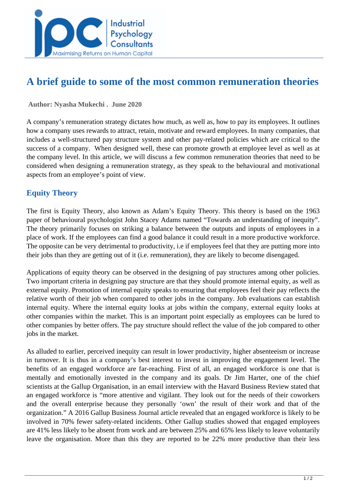

# **A brief guide to some of the most common remuneration theories**

#### **Author: Nyasha Mukechi . June 2020**

A company's remuneration strategy dictates how much, as well as, how to pay its employees. It outlines how a company uses rewards to attract, retain, motivate and reward employees. In many companies, that includes a well-structured pay structure system and other pay-related policies which are critical to the success of a company. When designed well, these can promote growth at employee level as well as at the company level. In this article, we will discuss a few common remuneration theories that need to be considered when designing a remuneration strategy, as they speak to the behavioural and motivational aspects from an employee's point of view.

### **Equity Theory**

The first is Equity Theory, also known as Adam's Equity Theory. This theory is based on the 1963 paper of behavioural psychologist John Stacey Adams named "Towards an understanding of inequity". The theory primarily focuses on striking a balance between the outputs and inputs of employees in a place of work. If the employees can find a good balance it could result in a more productive workforce. The opposite can be very detrimental to productivity, i.e if employees feel that they are putting more into their jobs than they are getting out of it (i.e. remuneration), they are likely to become disengaged.

Applications of equity theory can be observed in the designing of pay structures among other policies. Two important criteria in designing pay structure are that they should promote internal equity, as well as external equity. Promotion of internal equity speaks to ensuring that employees feel their pay reflects the relative worth of their job when compared to other jobs in the company. Job evaluations can establish internal equity. Where the internal equity looks at jobs within the company, external equity looks at other companies within the market. This is an important point especially as employees can be lured to other companies by better offers. The pay structure should reflect the value of the job compared to other jobs in the market.

As alluded to earlier, perceived inequity can result in lower productivity, higher absenteeism or increase in turnover. It is thus in a company's best interest to invest in improving the engagement level. The benefits of an engaged workforce are far-reaching. First of all, an engaged workforce is one that is mentally and emotionally invested in the company and its goals. Dr Jim Harter, one of the chief scientists at the Gallup Organisation, in an email interview with the Havard Business Review stated that an engaged workforce is "more attentive and vigilant. They look out for the needs of their coworkers and the overall enterprise because they personally 'own' the result of their work and that of the organization." A 2016 Gallup Business Journal article revealed that an engaged workforce is likely to be involved in 70% fewer safety-related incidents. Other Gallup studies showed that engaged employees are 41% less likely to be absent from work and are between 25% and 65% less likely to leave voluntarily leave the organisation. More than this they are reported to be 22% more productive than their less